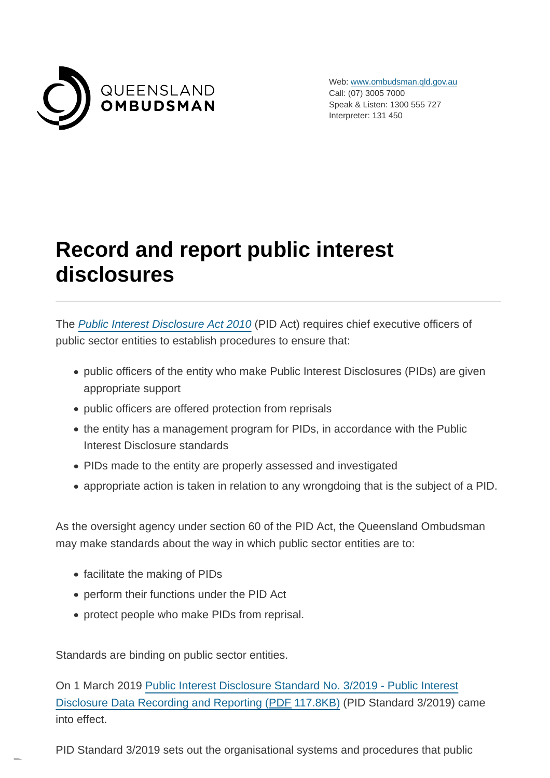

Web: [www.ombudsman.qld.gov.au](https://www.ombudsman.qld.gov.au/) Call: (07) 3005 7000 Speak & Listen: 1300 555 727 Interpreter: 131 450

# **Record and report public interest disclosures**

The [Public Interest Disclosure Act 2010](https://www.ombudsman.qld.gov.au/what-we-do/role-of-the-ombudsman/legislation-and-standard/legislation-and-standard) (PID Act) requires chief executive officers of public sector entities to establish procedures to ensure that:

- public officers of the entity who make Public Interest Disclosures (PIDs) are given appropriate support
- public officers are offered protection from reprisals
- the entity has a management program for PIDs, in accordance with the Public Interest Disclosure standards
- PIDs made to the entity are properly assessed and investigated
- appropriate action is taken in relation to any wrongdoing that is the subject of a PID.

As the oversight agency under section 60 of the PID Act, the Queensland Ombudsman may make standards about the way in which public sector entities are to:

- facilitate the making of PIDs
- perform their functions under the PID Act
- protect people who make PIDs from reprisal.

Standards are binding on public sector entities.

On 1 March 2019 [Public Interest Disclosure Standard No. 3/2019 - Public Interest](https://www.ombudsman.qld.gov.au/ArticleDocuments/212/PID%20Standard%203-2019%20Dec2018.pdf.aspx) Disclosure Data Recording and Reporting (PDF 117.8KB) (PID Standard 3/2019) came into effect.

PID Standard 3/2019 sets out the organisational systems and procedures that public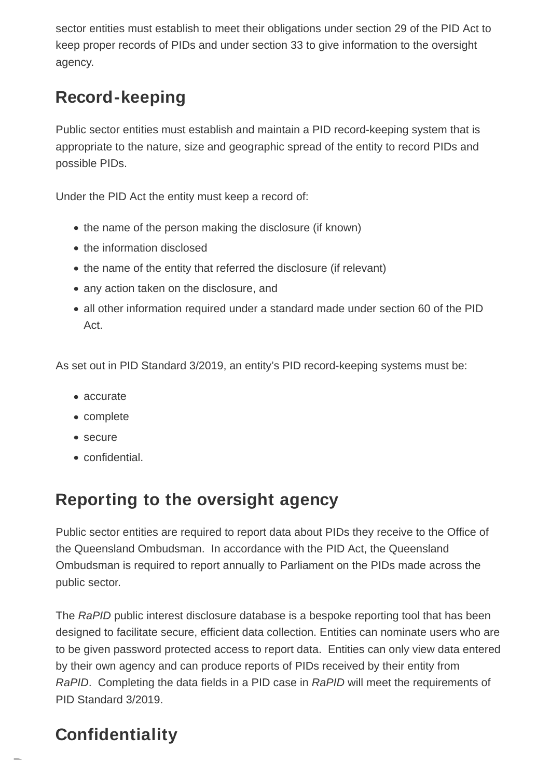sector entities must establish to meet their obligations under section 29 of the PID Act to keep proper records of PIDs and under section 33 to give information to the oversight agency.

### **Record-keeping**

Public sector entities must establish and maintain a PID record-keeping system that is appropriate to the nature, size and geographic spread of the entity to record PIDs and possible PIDs.

Under the PID Act the entity must keep a record of:

- the name of the person making the disclosure (if known)
- the information disclosed
- the name of the entity that referred the disclosure (if relevant)
- any action taken on the disclosure, and
- all other information required under a standard made under section 60 of the PID Act.

As set out in PID Standard 3/2019, an entity's PID record-keeping systems must be:

- accurate
- complete
- secure
- confidential.

#### **Reporting to the oversight agency**

Public sector entities are required to report data about PIDs they receive to the Office of the Queensland Ombudsman. In accordance with the PID Act, the Queensland Ombudsman is required to report annually to Parliament on the PIDs made across the public sector.

The RaPID public interest disclosure database is a bespoke reporting tool that has been designed to facilitate secure, efficient data collection. Entities can nominate users who are to be given password protected access to report data. Entities can only view data entered by their own agency and can produce reports of PIDs received by their entity from RaPID. Completing the data fields in a PID case in RaPID will meet the requirements of PID Standard 3/2019.

### **Confidentiality**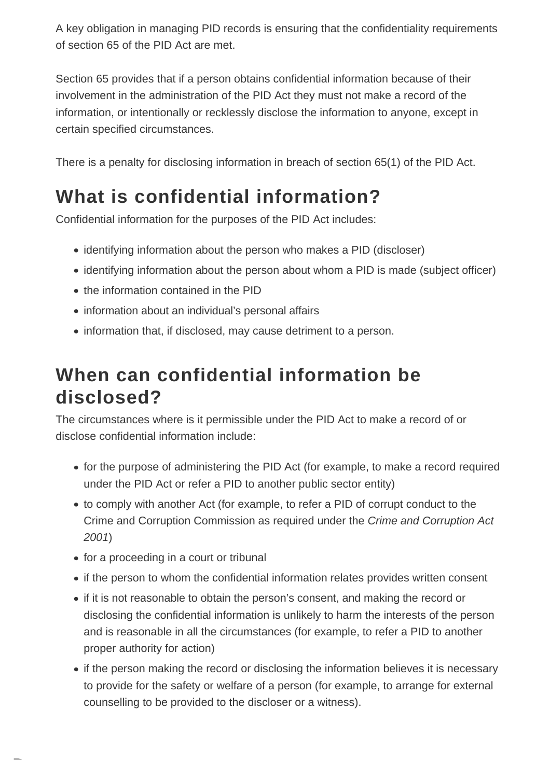A key obligation in managing PID records is ensuring that the confidentiality requirements of section 65 of the PID Act are met.

Section 65 provides that if a person obtains confidential information because of their involvement in the administration of the PID Act they must not make a record of the information, or intentionally or recklessly disclose the information to anyone, except in certain specified circumstances.

There is a penalty for disclosing information in breach of section 65(1) of the PID Act.

## **What is confidential information?**

Confidential information for the purposes of the PID Act includes:

- identifying information about the person who makes a PID (discloser)
- identifying information about the person about whom a PID is made (subject officer)
- the information contained in the PID
- information about an individual's personal affairs
- information that, if disclosed, may cause detriment to a person.

## **When can confidential information be disclosed?**

The circumstances where is it permissible under the PID Act to make a record of or disclose confidential information include:

- for the purpose of administering the PID Act (for example, to make a record required under the PID Act or refer a PID to another public sector entity)
- to comply with another Act (for example, to refer a PID of corrupt conduct to the Crime and Corruption Commission as required under the Crime and Corruption Act 2001)
- for a proceeding in a court or tribunal
- if the person to whom the confidential information relates provides written consent
- if it is not reasonable to obtain the person's consent, and making the record or disclosing the confidential information is unlikely to harm the interests of the person and is reasonable in all the circumstances (for example, to refer a PID to another proper authority for action)
- if the person making the record or disclosing the information believes it is necessary to provide for the safety or welfare of a person (for example, to arrange for external counselling to be provided to the discloser or a witness).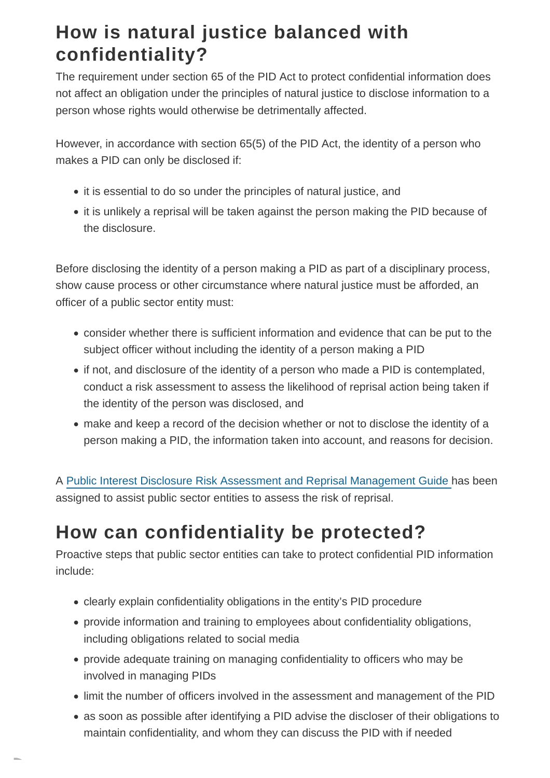## **How is natural justice balanced with confidentiality?**

The requirement under section 65 of the PID Act to protect confidential information does not affect an obligation under the principles of natural justice to disclose information to a person whose rights would otherwise be detrimentally affected.

However, in accordance with section 65(5) of the PID Act, the identity of a person who makes a PID can only be disclosed if:

- it is essential to do so under the principles of natural justice, and
- it is unlikely a reprisal will be taken against the person making the PID because of the disclosure.

Before disclosing the identity of a person making a PID as part of a disciplinary process, show cause process or other circumstance where natural justice must be afforded, an officer of a public sector entity must:

- consider whether there is sufficient information and evidence that can be put to the subject officer without including the identity of a person making a PID
- if not, and disclosure of the identity of a person who made a PID is contemplated, conduct a risk assessment to assess the likelihood of reprisal action being taken if the identity of the person was disclosed, and
- make and keep a record of the decision whether or not to disclose the identity of a person making a PID, the information taken into account, and reasons for decision.

A [Public Interest Disclosure Risk Assessment and Reprisal Management Guide h](https://www.ombudsman.qld.gov.au/improve-public-administration/public-interest-disclosures/public-interest-disclosure-resources/public-interest-disclosure-assessment-resources)as been assigned to assist public sector entities to assess the risk of reprisal.

## **How can confidentiality be protected?**

Proactive steps that public sector entities can take to protect confidential PID information include:

- clearly explain confidentiality obligations in the entity's PID procedure
- provide information and training to employees about confidentiality obligations, including obligations related to social media
- provide adequate training on managing confidentiality to officers who may be involved in managing PIDs
- limit the number of officers involved in the assessment and management of the PID
- as soon as possible after identifying a PID advise the discloser of their obligations to maintain confidentiality, and whom they can discuss the PID with if needed